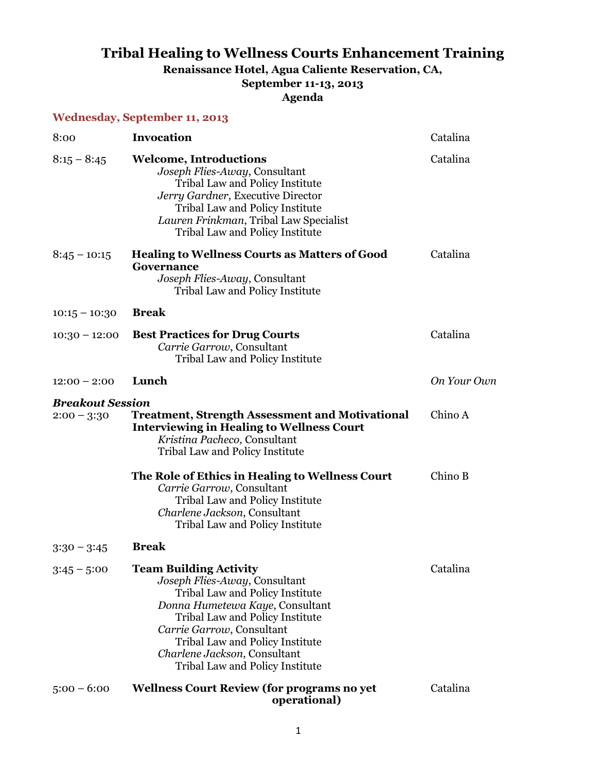## **Tribal Healing to Wellness Courts Enhancement Training Renaissance Hotel, Agua Caliente Reservation, CA, September 11-13, 2013**

**Agenda**

|                                          | <b>Wednesday, September 11, 2013</b>                                                                                                                                                                                                                                                                       |             |
|------------------------------------------|------------------------------------------------------------------------------------------------------------------------------------------------------------------------------------------------------------------------------------------------------------------------------------------------------------|-------------|
| 8:00                                     | <b>Invocation</b>                                                                                                                                                                                                                                                                                          | Catalina    |
| $8:15 - 8:45$                            | <b>Welcome, Introductions</b><br>Joseph Flies-Away, Consultant<br>Tribal Law and Policy Institute<br>Jerry Gardner, Executive Director<br>Tribal Law and Policy Institute<br>Lauren Frinkman, Tribal Law Specialist<br>Tribal Law and Policy Institute                                                     | Catalina    |
| $8:45 - 10:15$                           | <b>Healing to Wellness Courts as Matters of Good</b><br>Governance<br>Joseph Flies-Away, Consultant<br>Tribal Law and Policy Institute                                                                                                                                                                     | Catalina    |
| $10:15 - 10:30$                          | <b>Break</b>                                                                                                                                                                                                                                                                                               |             |
| $10:30 - 12:00$                          | <b>Best Practices for Drug Courts</b><br>Carrie Garrow, Consultant<br>Tribal Law and Policy Institute                                                                                                                                                                                                      | Catalina    |
| $12:00 - 2:00$                           | Lunch                                                                                                                                                                                                                                                                                                      | On Your Own |
| <b>Breakout Session</b><br>$2:00 - 3:30$ | <b>Treatment, Strength Assessment and Motivational</b><br><b>Interviewing in Healing to Wellness Court</b><br>Kristina Pacheco, Consultant<br>Tribal Law and Policy Institute                                                                                                                              | Chino A     |
|                                          | The Role of Ethics in Healing to Wellness Court<br>Carrie Garrow, Consultant<br>Tribal Law and Policy Institute<br>Charlene Jackson, Consultant<br>Tribal Law and Policy Institute                                                                                                                         | Chino B     |
| $3:30 - 3:45$                            | <b>Break</b>                                                                                                                                                                                                                                                                                               |             |
| $3:45 - 5:00$                            | <b>Team Building Activity</b><br>Joseph Flies-Away, Consultant<br>Tribal Law and Policy Institute<br>Donna Humetewa Kaye, Consultant<br>Tribal Law and Policy Institute<br>Carrie Garrow, Consultant<br>Tribal Law and Policy Institute<br>Charlene Jackson, Consultant<br>Tribal Law and Policy Institute | Catalina    |
| $5:00 - 6:00$                            | <b>Wellness Court Review (for programs no yet</b><br>operational)                                                                                                                                                                                                                                          | Catalina    |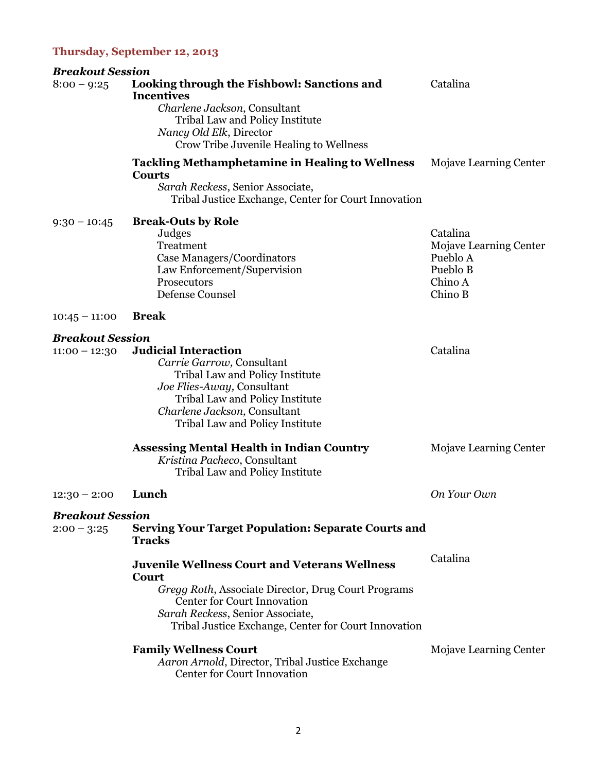## **Thursday, September 12, 2013**

| <b>Breakout Session</b>                    |                                                                                                                                                                                                                                                               |                                                                                  |
|--------------------------------------------|---------------------------------------------------------------------------------------------------------------------------------------------------------------------------------------------------------------------------------------------------------------|----------------------------------------------------------------------------------|
| $8:00 - 9:25$                              | Looking through the Fishbowl: Sanctions and<br><b>Incentives</b><br>Charlene Jackson, Consultant<br>Tribal Law and Policy Institute<br>Nancy Old Elk, Director<br>Crow Tribe Juvenile Healing to Wellness                                                     | Catalina                                                                         |
|                                            | <b>Tackling Methamphetamine in Healing to Wellness</b><br><b>Courts</b><br>Sarah Reckess, Senior Associate,<br>Tribal Justice Exchange, Center for Court Innovation                                                                                           | Mojave Learning Center                                                           |
| $9:30 - 10:45$                             | <b>Break-Outs by Role</b><br>Judges<br>Treatment<br>Case Managers/Coordinators<br>Law Enforcement/Supervision<br>Prosecutors<br>Defense Counsel                                                                                                               | Catalina<br>Mojave Learning Center<br>Pueblo A<br>Pueblo B<br>Chino A<br>Chino B |
| $10:45 - 11:00$                            | <b>Break</b>                                                                                                                                                                                                                                                  |                                                                                  |
| <b>Breakout Session</b><br>$11:00 - 12:30$ | <b>Judicial Interaction</b><br>Carrie Garrow, Consultant<br>Tribal Law and Policy Institute<br>Joe Flies-Away, Consultant<br>Tribal Law and Policy Institute<br>Charlene Jackson, Consultant<br>Tribal Law and Policy Institute                               | Catalina                                                                         |
|                                            | <b>Assessing Mental Health in Indian Country</b><br>Kristina Pacheco, Consultant<br>Tribal Law and Policy Institute                                                                                                                                           | Mojave Learning Center                                                           |
| $12:30 - 2:00$                             | Lunch                                                                                                                                                                                                                                                         | On Your Own                                                                      |
| <b>Breakout Session</b><br>$2:00 - 3:25$   | <b>Serving Your Target Population: Separate Courts and</b><br><b>Tracks</b>                                                                                                                                                                                   |                                                                                  |
|                                            | <b>Juvenile Wellness Court and Veterans Wellness</b><br>Court<br><i>Gregg Roth, Associate Director, Drug Court Programs</i><br><b>Center for Court Innovation</b><br>Sarah Reckess, Senior Associate,<br>Tribal Justice Exchange, Center for Court Innovation | Catalina                                                                         |
|                                            | <b>Family Wellness Court</b><br>Aaron Arnold, Director, Tribal Justice Exchange<br><b>Center for Court Innovation</b>                                                                                                                                         | Mojave Learning Center                                                           |